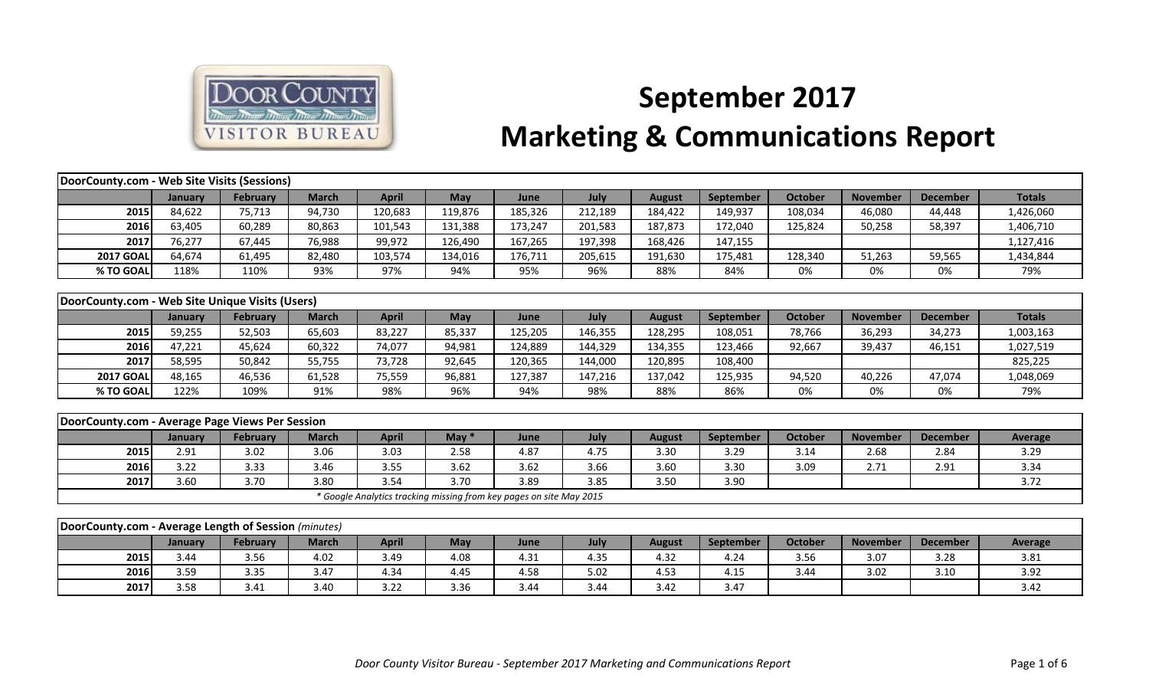

## **September 2017 Marketing & Communications Report**

| DoorCounty.com - Web Site Visits (Sessions)          |         |                 |              |              |                                                                     |         |         |               |                  |                |                 |                 |                |
|------------------------------------------------------|---------|-----------------|--------------|--------------|---------------------------------------------------------------------|---------|---------|---------------|------------------|----------------|-----------------|-----------------|----------------|
|                                                      | January | <b>February</b> | <b>March</b> | <b>April</b> | May                                                                 | June    | July    | <b>August</b> | September        | <b>October</b> | <b>November</b> | <b>December</b> | <b>Totals</b>  |
| 2015                                                 | 84,622  | 75,713          | 94,730       | 120,683      | 119,876                                                             | 185,326 | 212,189 | 184,422       | 149,937          | 108,034        | 46,080          | 44,448          | 1,426,060      |
| 2016                                                 | 63,405  | 60,289          | 80,863       | 101,543      | 131,388                                                             | 173,247 | 201,583 | 187,873       | 172,040          | 125,824        | 50,258          | 58,397          | 1,406,710      |
| 2017                                                 | 76,277  | 67,445          | 76,988       | 99,972       | 126,490                                                             | 167,265 | 197,398 | 168,426       | 147,155          |                |                 |                 | 1,127,416      |
| <b>2017 GOAL</b>                                     | 64,674  | 61,495          | 82,480       | 103,574      | 134,016                                                             | 176,711 | 205,615 | 191,630       | 175,481          | 128,340        | 51,263          | 59,565          | 1,434,844      |
| % TO GOAL                                            | 118%    | 110%            | 93%          | 97%          | 94%                                                                 | 95%     | 96%     | 88%           | 84%              | 0%             | 0%              | 0%              | 79%            |
|                                                      |         |                 |              |              |                                                                     |         |         |               |                  |                |                 |                 |                |
| DoorCounty.com - Web Site Unique Visits (Users)      |         |                 |              |              |                                                                     |         |         |               |                  |                |                 |                 |                |
|                                                      | January | <b>February</b> | <b>March</b> | <b>April</b> | May                                                                 | June    | July    | <b>August</b> | <b>September</b> | <b>October</b> | <b>November</b> | <b>December</b> | <b>Totals</b>  |
| 2015                                                 | 59,255  | 52,503          | 65,603       | 83,227       | 85,337                                                              | 125,205 | 146,355 | 128,295       | 108,051          | 78,766         | 36,293          | 34,273          | 1,003,163      |
| 2016                                                 | 47,221  | 45,624          | 60,322       | 74,077       | 94,981                                                              | 124,889 | 144,329 | 134,355       | 123,466          | 92,667         | 39,437          | 46,151          | 1,027,519      |
| 2017                                                 | 58,595  | 50,842          | 55,755       | 73,728       | 92,645                                                              | 120,365 | 144,000 | 120,895       | 108,400          |                |                 |                 | 825,225        |
| <b>2017 GOAL</b>                                     | 48,165  | 46,536          | 61,528       | 75,559       | 96,881                                                              | 127,387 | 147,216 | 137,042       | 125,935          | 94,520         | 40,226          | 47,074          | 1,048,069      |
| % TO GOAL                                            | 122%    | 109%            | 91%          | 98%          | 96%                                                                 | 94%     | 98%     | 88%           | 86%              | 0%             | 0%              | 0%              | 79%            |
|                                                      |         |                 |              |              |                                                                     |         |         |               |                  |                |                 |                 |                |
| DoorCounty.com - Average Page Views Per Session      |         |                 |              |              |                                                                     |         |         |               |                  |                |                 |                 |                |
|                                                      | January | <b>February</b> | <b>March</b> | <b>April</b> | May $*$                                                             | June    | July    | <b>August</b> | September        | <b>October</b> | <b>November</b> | <b>December</b> | <b>Average</b> |
| 2015                                                 | 2.91    | 3.02            | 3.06         | 3.03         | 2.58                                                                | 4.87    | 4.75    | 3.30          | 3.29             | 3.14           | 2.68            | 2.84            | 3.29           |
| 2016                                                 | 3.22    | 3.33            | 3.46         | 3.55         | 3.62                                                                | 3.62    | 3.66    | 3.60          | 3.30             | 3.09           | 2.71            | 2.91            | 3.34           |
| 2017                                                 | 3.60    | 3.70            | 3.80         | 3.54         | 3.70                                                                | 3.89    | 3.85    | 3.50          | 3.90             |                |                 |                 | 3.72           |
|                                                      |         |                 |              |              | * Google Analytics tracking missing from key pages on site May 2015 |         |         |               |                  |                |                 |                 |                |
|                                                      |         |                 |              |              |                                                                     |         |         |               |                  |                |                 |                 |                |
| DoorCounty.com - Average Length of Session (minutes) |         |                 |              |              |                                                                     |         |         |               |                  |                |                 |                 |                |
|                                                      | January | February        | <b>March</b> | <b>April</b> | May                                                                 | June    | July    | <b>August</b> | September        | <b>October</b> | <b>November</b> | <b>December</b> | Average        |
| 2015                                                 | 3.44    | 3.56            | 4.02         | 3.49         | 4.08                                                                | 4.31    | 4.35    | 4.32          | 4.24             | 3.56           | 3.07            | 3.28            | 3.81           |
| 2016                                                 | 3.59    | 3.35            | 3.47         | 4.34         | 4.45                                                                | 4.58    | 5.02    | 4.53          | 4.15             | 3.44           | 3.02            | 3.10            | 3.92           |
| 2017                                                 | 3.58    | 3.41            | 3.40         | 3.22         | 3.36                                                                | 3.44    | 3.44    | 3.42          | 3.47             |                |                 |                 | 3.42           |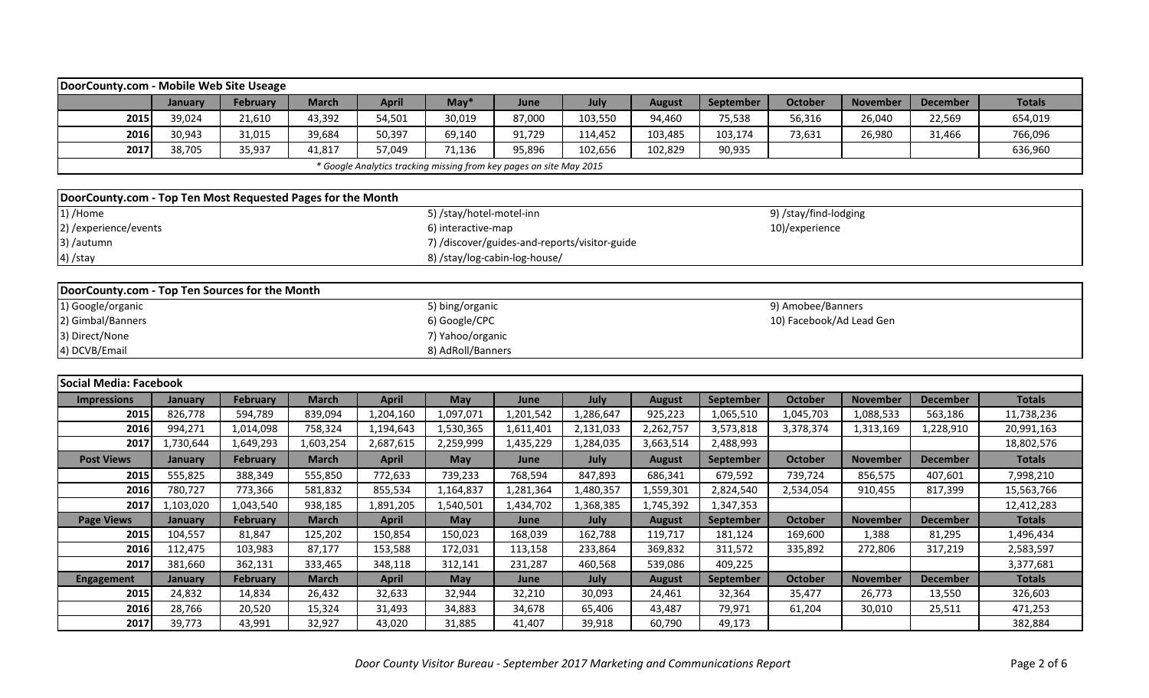| DoorCounty.com - Mobile Web Site Useage                     |                |           |              |              |                          |                                                                     |           |               |           |                          |                 |                 |               |
|-------------------------------------------------------------|----------------|-----------|--------------|--------------|--------------------------|---------------------------------------------------------------------|-----------|---------------|-----------|--------------------------|-----------------|-----------------|---------------|
|                                                             | January        | February  | <b>March</b> | <b>April</b> | $May*$                   | June                                                                | July      | <b>August</b> | September | <b>October</b>           | <b>November</b> | <b>December</b> | <b>Totals</b> |
| 2015                                                        | 39,024         | 21,610    | 43,392       | 54,501       | 30,019                   | 87,000                                                              | 103,550   | 94,460        | 75,538    | 56,316                   | 26,040          | 22,569          | 654,019       |
| 2016                                                        | 30,943         | 31,015    | 39,684       | 50,397       | 69,140                   | 91,729                                                              | 114,452   | 103,485       | 103,174   | 73,631                   | 26,980          | 31,466          | 766,096       |
| 2017                                                        | 38,705         | 35,937    | 41,817       | 57,049       | 71,136                   | 95,896                                                              | 102,656   | 102,829       | 90,935    |                          |                 |                 | 636,960       |
|                                                             |                |           |              |              |                          | * Google Analytics tracking missing from key pages on site May 2015 |           |               |           |                          |                 |                 |               |
|                                                             |                |           |              |              |                          |                                                                     |           |               |           |                          |                 |                 |               |
| DoorCounty.com - Top Ten Most Requested Pages for the Month |                |           |              |              |                          |                                                                     |           |               |           |                          |                 |                 |               |
| 1) /Home                                                    |                |           |              |              | 5) /stay/hotel-motel-inn |                                                                     |           |               |           | 9) /stay/find-lodging    |                 |                 |               |
| 2) / experience/ events                                     |                |           |              |              | 6) interactive-map       |                                                                     |           |               |           | 10)/experience           |                 |                 |               |
| 3) /autumn                                                  |                |           |              |              |                          | 7) /discover/guides-and-reports/visitor-guide                       |           |               |           |                          |                 |                 |               |
| 4) /stay                                                    |                |           |              |              |                          | 8) /stay/log-cabin-log-house/                                       |           |               |           |                          |                 |                 |               |
|                                                             |                |           |              |              |                          |                                                                     |           |               |           |                          |                 |                 |               |
| DoorCounty.com - Top Ten Sources for the Month              |                |           |              |              |                          |                                                                     |           |               |           |                          |                 |                 |               |
| 1) Google/organic                                           |                |           |              |              | 5) bing/organic          |                                                                     |           |               |           | 9) Amobee/Banners        |                 |                 |               |
| 2) Gimbal/Banners                                           |                |           |              |              | 6) Google/CPC            |                                                                     |           |               |           | 10) Facebook/Ad Lead Gen |                 |                 |               |
| 3) Direct/None                                              |                |           |              |              | 7) Yahoo/organic         |                                                                     |           |               |           |                          |                 |                 |               |
| 4) DCVB/Email                                               |                |           |              |              | 8) AdRoll/Banners        |                                                                     |           |               |           |                          |                 |                 |               |
|                                                             |                |           |              |              |                          |                                                                     |           |               |           |                          |                 |                 |               |
| Social Media: Facebook                                      |                |           |              |              |                          |                                                                     |           |               |           |                          |                 |                 |               |
| <b>Impressions</b>                                          | <b>January</b> | February  | <b>March</b> | <b>April</b> | May                      | June                                                                | July      | <b>August</b> | September | <b>October</b>           | <b>November</b> | <b>December</b> | <b>Totals</b> |
| 2015                                                        | 826,778        | 594,789   | 839,094      | 1,204,160    | 1,097,071                | 1,201,542                                                           | 1,286,647 | 925,223       | 1,065,510 | 1,045,703                | 1,088,533       | 563,186         | 11,738,236    |
| 2016                                                        | 994,271        | 1,014,098 | 758,324      | 1,194,643    | 1,530,365                | 1,611,401                                                           | 2,131,033 | 2,262,757     | 3,573,818 | 3,378,374                | 1,313,169       | 1,228,910       | 20,991,163    |
| 2017                                                        | 1,730,644      | 1,649,293 | 1,603,254    | 2,687,615    | 2,259,999                | 1,435,229                                                           | 1,284,035 | 3,663,514     | 2,488,993 |                          |                 |                 | 18,802,576    |
| <b>Post Views</b>                                           | January        | February  | <b>March</b> | <b>April</b> | May                      | June                                                                | July      | <b>August</b> | September | <b>October</b>           | <b>November</b> | <b>December</b> | <b>Totals</b> |
| 2015                                                        | 555,825        | 388,349   | 555,850      | 772,633      | 739,233                  | 768,594                                                             | 847,893   | 686,341       | 679,592   | 739,724                  | 856,575         | 407,601         | 7,998,210     |
| 2016                                                        | 780,727        | 773,366   | 581,832      | 855,534      | 1,164,837                | 1,281,364                                                           | 1,480,357 | 1,559,301     | 2,824,540 | 2,534,054                | 910,455         | 817,399         | 15,563,766    |
| 2017                                                        | 1,103,020      | 1,043,540 | 938,185      | 1,891,205    | 1,540,501                | 1,434,702                                                           | 1,368,385 | 1,745,392     | 1,347,353 |                          |                 |                 | 12,412,283    |
| <b>Page Views</b>                                           | January        | February  | <b>March</b> | <b>April</b> | May                      | June                                                                | July      | <b>August</b> | September | <b>October</b>           | <b>November</b> | <b>December</b> | <b>Totals</b> |
| 2015                                                        | 104,557        | 81,847    | 125,202      | 150,854      | 150,023                  | 168,039                                                             | 162,788   | 119,717       | 181,124   | 169,600                  | 1,388           | 81,295          | 1,496,434     |
| 2016                                                        | 112,475        | 103,983   | 87,177       | 153,588      | 172,031                  | 113,158                                                             | 233,864   | 369,832       | 311,572   | 335,892                  | 272,806         | 317,219         | 2,583,597     |
| 2017                                                        | 381,660        | 362,131   | 333,465      | 348,118      | 312,141                  | 231,287                                                             | 460,568   | 539,086       | 409,225   |                          |                 |                 | 3,377,681     |
| <b>Engagement</b>                                           | January        | February  | <b>March</b> | <b>April</b> | May                      | June                                                                | July      | <b>August</b> | September | <b>October</b>           | <b>November</b> | <b>December</b> | <b>Totals</b> |
| 2015                                                        | 24,832         | 14,834    | 26,432       | 32,633       | 32,944                   | 32,210                                                              | 30,093    | 24,461        | 32,364    | 35,477                   | 26,773          | 13,550          | 326,603       |
| 2016                                                        | 28,766         | 20,520    | 15,324       | 31,493       | 34,883                   | 34,678                                                              | 65,406    | 43,487        | 79,971    | 61,204                   | 30,010          | 25,511          | 471,253       |
| 2017                                                        | 39,773         | 43,991    | 32,927       | 43,020       | 31,885                   | 41,407                                                              | 39,918    | 60,790        | 49,173    |                          |                 |                 | 382,884       |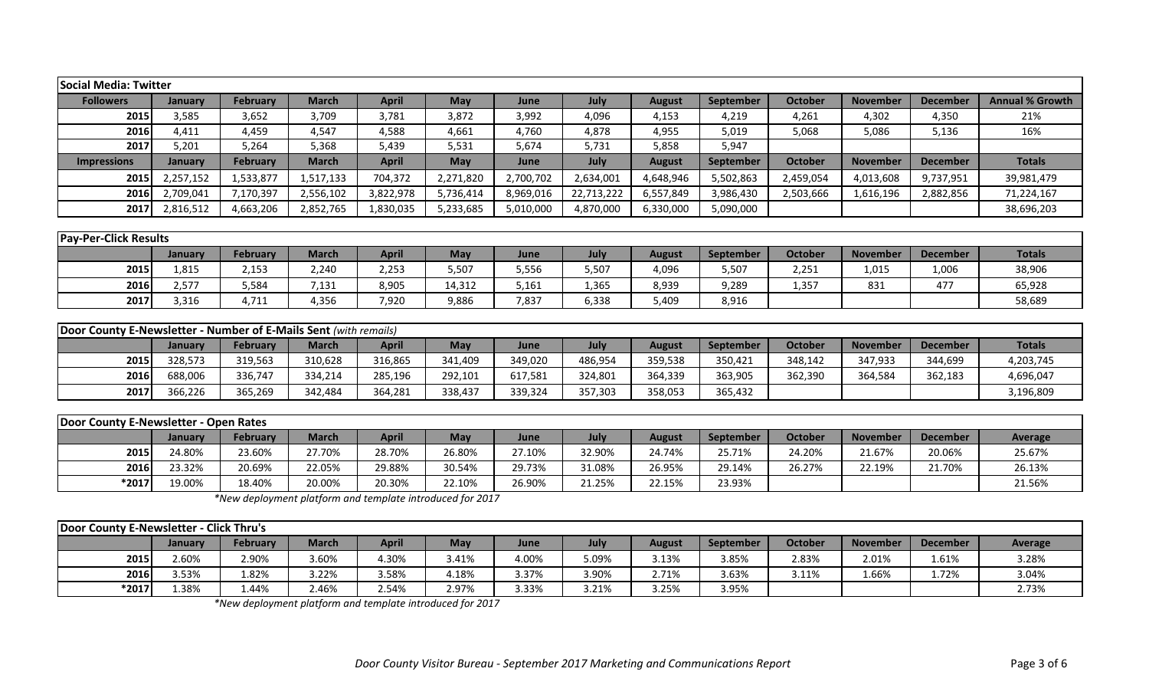| <b>Social Media: Twitter</b>                                            |                |                 |              |              |            |           |            |               |           |                |                 |                 |                        |
|-------------------------------------------------------------------------|----------------|-----------------|--------------|--------------|------------|-----------|------------|---------------|-----------|----------------|-----------------|-----------------|------------------------|
| <b>Followers</b>                                                        | <b>January</b> | <b>February</b> | <b>March</b> | <b>April</b> | <b>May</b> | June      | July       | <b>August</b> | September | <b>October</b> | <b>November</b> | <b>December</b> | <b>Annual % Growth</b> |
| 2015                                                                    | 3,585          | 3,652           | 3,709        | 3,781        | 3,872      | 3,992     | 4,096      | 4,153         | 4,219     | 4,261          | 4,302           | 4,350           | 21%                    |
| 2016                                                                    | 4,411          | 4,459           | 4,547        | 4,588        | 4,661      | 4,760     | 4,878      | 4,955         | 5,019     | 5,068          | 5,086           | 5,136           | 16%                    |
| 2017                                                                    | 5,201          | 5,264           | 5,368        | 5,439        | 5,531      | 5,674     | 5,731      | 5,858         | 5,947     |                |                 |                 |                        |
| <b>Impressions</b>                                                      | <b>January</b> | <b>February</b> | <b>March</b> | <b>April</b> | <b>May</b> | June      | July       | <b>August</b> | September | <b>October</b> | <b>November</b> | <b>December</b> | <b>Totals</b>          |
| 2015                                                                    | 2,257,152      | 1,533,877       | 1,517,133    | 704,372      | 2,271,820  | 2,700,702 | 2,634,001  | 4,648,946     | 5,502,863 | 2,459,054      | 4,013,608       | 9,737,951       | 39,981,479             |
| 2016                                                                    | 2,709,041      | 7,170,397       | 2,556,102    | 3,822,978    | 5,736,414  | 8,969,016 | 22,713,222 | 6,557,849     | 3,986,430 | 2,503,666      | 1,616,196       | 2,882,856       | 71,224,167             |
| 2017                                                                    | 2,816,512      | 4,663,206       | 2,852,765    | 1,830,035    | 5,233,685  | 5,010,000 | 4,870,000  | 6,330,000     | 5,090,000 |                |                 |                 | 38,696,203             |
|                                                                         |                |                 |              |              |            |           |            |               |           |                |                 |                 |                        |
| <b>Pay-Per-Click Results</b>                                            |                |                 |              |              |            |           |            |               |           |                |                 |                 |                        |
|                                                                         | January        | February        | <b>March</b> | <b>April</b> | <b>May</b> | June      | July       | <b>August</b> | September | <b>October</b> | <b>November</b> | <b>December</b> | <b>Totals</b>          |
| 2015                                                                    | 1,815          | 2,153           | 2,240        | 2,253        | 5,507      | 5,556     | 5,507      | 4,096         | 5,507     | 2,251          | 1,015           | 1,006           | 38,906                 |
| 2016                                                                    | 2,577          | 5,584           | 7,131        | 8,905        | 14,312     | 5,161     | 1,365      | 8,939         | 9,289     | 1,357          | 831             | 477             | 65,928                 |
| 2017                                                                    | 3,316          | 4,711           | 4,356        | 7,920        | 9,886      | 7,837     | 6,338      | 5,409         | 8,916     |                |                 |                 | 58,689                 |
|                                                                         |                |                 |              |              |            |           |            |               |           |                |                 |                 |                        |
| <b>Door County E-Newsletter - Number of E-Mails Sent (with remails)</b> |                |                 |              |              |            |           |            |               |           |                |                 |                 |                        |
|                                                                         | January        | <b>February</b> | <b>March</b> | <b>April</b> | <b>May</b> | June      | July       | <b>August</b> | September | <b>October</b> | <b>November</b> | <b>December</b> | <b>Totals</b>          |
| 2015                                                                    | 328,573        | 319,563         | 310,628      | 316,865      | 341,409    | 349,020   | 486,954    | 359,538       | 350,421   | 348,142        | 347,933         | 344,699         | 4,203,745              |
| 2016                                                                    | 688,006        | 336,747         | 334,214      | 285,196      | 292,101    | 617,581   | 324,801    | 364,339       | 363,905   | 362,390        | 364,584         | 362,183         | 4,696,047              |
| 2017                                                                    | 366,226        | 365,269         | 342,484      | 364,281      | 338,437    | 339,324   | 357,303    | 358,053       | 365,432   |                |                 |                 | 3,196,809              |

| Door County E-Newsletter - Open Rates |         |                 |              |              |        |        |        |        |                  |                |                 |                 |         |
|---------------------------------------|---------|-----------------|--------------|--------------|--------|--------|--------|--------|------------------|----------------|-----------------|-----------------|---------|
|                                       | Januarv | <b>February</b> | <b>March</b> | <b>April</b> | May    | June   | July   | August | <b>September</b> | <b>October</b> | <b>November</b> | <b>December</b> | Average |
| 2015                                  | 24.80%  | 23.60%          | 27.70%       | 28.70%       | 26.80% | 27.10% | 32.90% | 24.74% | 25.71%           | 24.20%         | 21.67%          | 20.06%          | 25.67%  |
| 2016                                  | 23.32%  | 20.69%          | 22.05%       | 29.88%       | 30.54% | 29.73% | 31.08% | 26.95% | 29.14%           | 26.27%         | 22.19%          | 21.70%          | 26.13%  |
| $*2017$                               | 19.00%  | 18.40%          | 20.00%       | 20.30%       | 22.10% | 26.90% | 21.25% | 22.15% | 23.93%           |                |                 |                 | 21.56%  |

*\*New deployment platform and template introduced for 2017*

| Door County E-Newsletter - Click Thru's |                |          |              |       |            |       |       |        |                  |         |                 |                 |                |
|-----------------------------------------|----------------|----------|--------------|-------|------------|-------|-------|--------|------------------|---------|-----------------|-----------------|----------------|
|                                         | <b>January</b> | February | <b>March</b> | April | <b>May</b> | June  | July  | August | <b>September</b> | October | <b>November</b> | <b>December</b> | <b>Average</b> |
| 2015                                    | 2.60%          | 2.90%    | 3.60%        | 1.30% | 3.41%      | 4.00% | 5.09% | 3.13%  | 3.85%            | 2.83%   | 2.01%           | 1.61%           | 3.28%          |
| 2016                                    | 3.53%          | 1.82%    | 3.22%        | 3.58% | 4.18%      | 3.37% | 3.90% | 2.71%  | 3.63%            | 3.11%   | 1.66%           | 1.72%           | 3.04%          |
| $*2017$                                 | L.38%          | 1.44%    | 2.46%        | 2.54% | 2.97%      | 3.33% | 3.21% | 3.25%  | 3.95%            |         |                 |                 | 2.73%          |

*\*New deployment platform and template introduced for 2017*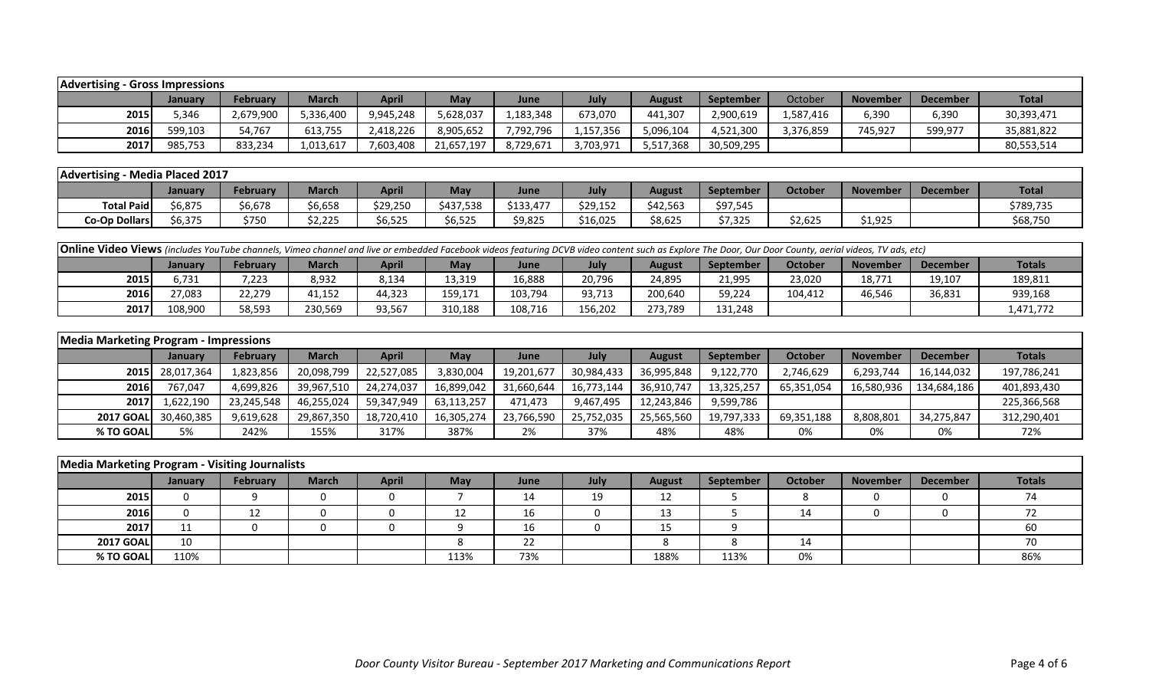| <b>Advertising - Gross Impressions</b> |         |           |           |              |            |             |           |           |            |           |                 |                 |              |
|----------------------------------------|---------|-----------|-----------|--------------|------------|-------------|-----------|-----------|------------|-----------|-----------------|-----------------|--------------|
|                                        | Januarv | February  | March     | <b>April</b> | <b>May</b> | <b>June</b> | July      | August    | September  | October   | <b>November</b> | <b>December</b> | <b>Total</b> |
| 2015                                   | 5.346   | 2,679,900 | 5,336,400 | 9,945,248    | 5,628,037  | 1,183,348   | 673,070   | 441,307   | 2,900,619  | 1,587,416 | 6,390           | 6,390           | 30,393,471   |
| 2016                                   | 599,103 | 54,767    | 613,755   | 2,418,226    | 8,905,652  | 7,792,796   | 1,157,356 | 096,104 ن | 4,521,300  | 3,376,859 | 745,927         | 599,977         | 35,881,822   |
| 2017                                   | 985,753 | 833,234   | 1,013,617 | 7,603,408    | 21,657,197 | 8,729,671   | 3,703,971 | 5,517,368 | 30,509,295 |           |                 |                 | 80,553,514   |

| Advertising -        | - Media Placed 2017 |                 |                        |          |                        |          |          |               |           |         |          |                 |              |
|----------------------|---------------------|-----------------|------------------------|----------|------------------------|----------|----------|---------------|-----------|---------|----------|-----------------|--------------|
|                      | <b>January</b>      | <b>February</b> | <b>March</b>           | April    | May                    | June     | July     | <b>August</b> | September | October | November | <b>December</b> | <b>Total</b> |
| <b>Total Paid</b>    | 6,875ز              | 6,678           | \$6,658                | \$29,250 | \$437,538              | 6122.177 | \$29,152 | \$42,563      | \$97,545  |         |          |                 | \$789,735    |
| <b>Co-Op Dollars</b> | 6,375ذ              | \$750           | <b>2.225</b><br>22,225 | \$6,525  | $A - F - F$<br>\$6,525 | \$9,825  | \$16,025 | \$8,625       | \$7,325   | \$2,625 | \$1,925  |                 | \$68,750     |

| <b>Online Video Views</b> (includes YouTube channels, Vimeo channel and live or embedded Facebook videos featuring DCVB video content such as Explore The Door, Our Door County, aerial videos, TV ads, etc) |         |                 |              |        |         |         |         |         |                  |         |                 |          |               |
|--------------------------------------------------------------------------------------------------------------------------------------------------------------------------------------------------------------|---------|-----------------|--------------|--------|---------|---------|---------|---------|------------------|---------|-----------------|----------|---------------|
|                                                                                                                                                                                                              | Januarv | <b>February</b> | <b>March</b> | April  | Mav     | June    | July    | August  | <b>September</b> | October | <b>November</b> | December | <b>Totals</b> |
| 2015                                                                                                                                                                                                         | 5.731   | 7,223           | 8,932        | 8,134  | 13,319  | 16,888  | 20,796  | 24,895  | 21,995           | 23,020  | 18,771          | 19,107   | 189,811       |
| 2016                                                                                                                                                                                                         | 27.083  | 22,279          | 41,152       | 44,323 | 159,171 | 103,794 | 93,713  | 200,640 | 59,224           | 104.412 | 46,546          | 36,831   | 939,168       |
| 2017                                                                                                                                                                                                         | 108.900 | 58,593          | 230,569      | 93,567 | 310,188 | 108,716 | 156,202 | 273.789 | 131,248          |         |                 |          | 1.471.772     |

| <b>Media Marketing Program - Impressions</b> |                 |                 |              |              |            |            |            |               |                  |            |                 |                 |               |
|----------------------------------------------|-----------------|-----------------|--------------|--------------|------------|------------|------------|---------------|------------------|------------|-----------------|-----------------|---------------|
|                                              | January         | <b>February</b> | <b>March</b> | <b>April</b> | May        | June       | July       | <b>August</b> | <b>September</b> | October    | <b>November</b> | <b>December</b> | <b>Totals</b> |
|                                              | 2015 28,017,364 | 1,823,856       | 20,098,799   | 22.527.085   | 3,830,004  | 19,201,677 | 30,984,433 | 36,995,848    | 9,122,770        | 2,746,629  | 6,293,744       | 16,144,032      | 197,786,241   |
| 2016                                         | 767,047         | 4,699,826       | 39,967,510   | 24,274,037   | 16,899,042 | 31,660,644 | 16,773,144 | 36,910,747    | 13,325,257       | 65,351,054 | 16,580,936      | 134,684,186     | 401,893,430   |
| 2017                                         | 1,622,190       | 23,245,548      | 46,255,024   | 59,347,949   | 63,113,257 | 471.473    | 9,467,495  | 12,243,846    | 9,599,786        |            |                 |                 | 225,366,568   |
| <b>2017 GOAL</b>                             | 30,460,385      | 9,619,628       | 29,867,350   | 18,720,410   | 16,305,274 | 23,766,590 | 25,752,035 | 25,565,560    | 19,797,333       | 69,351,188 | 8,808,801       | 34,275,847      | 312,290,401   |
| % TO GOAL                                    | 5%              | 242%            | 155%         | 317%         | 387%       | 2%         | 37%        | 48%           | 48%              | 0%         | 0%              | 0%              | 72%           |

| Media Marketing Program - Visiting Journalists |                |          |              |              |            |      |      |               |                  |                |                 |          |               |
|------------------------------------------------|----------------|----------|--------------|--------------|------------|------|------|---------------|------------------|----------------|-----------------|----------|---------------|
|                                                | <b>January</b> | February | <b>March</b> | <b>April</b> | <b>May</b> | June | July | <b>August</b> | <b>September</b> | <b>October</b> | <b>November</b> | December | <b>Totals</b> |
| 2015                                           |                |          |              |              |            | 14   | 19   | 12            |                  |                |                 |          |               |
| 2016                                           |                |          |              |              |            | 16   |      | 13            |                  | 14             |                 |          |               |
| 2017                                           | ᆠ              |          |              |              |            | 16   |      |               |                  |                |                 |          |               |
| <b>2017 GOAL</b>                               | 10             |          |              |              |            | 22   |      |               |                  | 14             |                 |          |               |
| % TO GOAL                                      | 110%           |          |              |              | 113%       | 73%  |      | 188%          | 113%             | 0%             |                 |          | 86%           |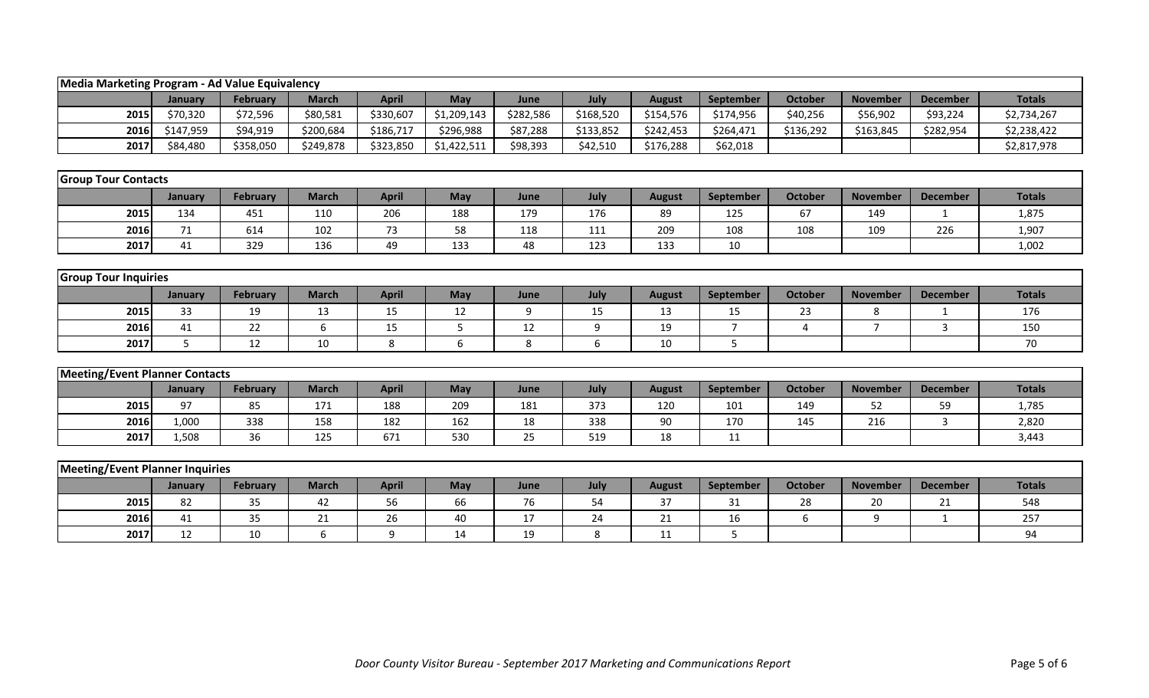| Media Marketing Program - Ad Value Equivalency |                |                 |                  |              |             |           |           |               |                  |                |                 |                 |               |
|------------------------------------------------|----------------|-----------------|------------------|--------------|-------------|-----------|-----------|---------------|------------------|----------------|-----------------|-----------------|---------------|
|                                                | <b>January</b> | <b>February</b> | <b>March</b>     | <b>April</b> | May         | June      | July      | <b>August</b> | September        | <b>October</b> | <b>November</b> | <b>December</b> | <b>Totals</b> |
| 2015                                           | \$70,320       | \$72,596        | \$80,581         | \$330,607    | \$1,209,143 | \$282,586 | \$168,520 | \$154,576     | \$174,956        | \$40,256       | \$56,902        | \$93,224        | \$2,734,267   |
| 2016                                           | \$147,959      | \$94,919        | \$200,684        | \$186,717    | \$296,988   | \$87,288  | \$133,852 | \$242,453     | \$264,471        | \$136,292      | \$163,845       | \$282,954       | \$2,238,422   |
| 2017                                           | \$84,480       | \$358,050       | \$249,878        | \$323,850    | \$1,422,511 | \$98,393  | \$42,510  | \$176,288     | \$62,018         |                |                 |                 | \$2,817,978   |
|                                                |                |                 |                  |              |             |           |           |               |                  |                |                 |                 |               |
| <b>Group Tour Contacts</b>                     |                |                 |                  |              |             |           |           |               |                  |                |                 |                 |               |
|                                                | January        | February        | <b>March</b>     | <b>April</b> | May         | June      | July      | <b>August</b> | <b>September</b> | <b>October</b> | <b>November</b> | <b>December</b> | <b>Totals</b> |
| 2015                                           | 134            | 451             | 110              | 206          | 188         | 179       | 176       | 89            | 125              | 67             | 149             | 1               | 1,875         |
| 2016                                           | 71             | 614             | 102              | 73           | 58          | 118       | 111       | 209           | 108              | 108            | 109             | 226             | 1,907         |
| 2017                                           | 41             | 329             | 136              | 49           | 133         | 48        | 123       | 133           | 10               |                |                 |                 | 1,002         |
|                                                |                |                 |                  |              |             |           |           |               |                  |                |                 |                 |               |
| <b>Group Tour Inquiries</b>                    |                |                 |                  |              |             |           |           |               |                  |                |                 |                 |               |
|                                                | January        | <b>February</b> | <b>March</b>     | <b>April</b> | May         | June      | July      | <b>August</b> | September        | <b>October</b> | <b>November</b> | <b>December</b> | <b>Totals</b> |
| 2015                                           | 33             | 19              | 13               | 15           | 12          | 9         | 15        | 13            | 15               | 23             | 8               | $\mathbf{1}$    | 176           |
| 2016                                           | 41             | 22              | $\boldsymbol{6}$ | 15           | 5           | 12        | 9         | 19            | $\overline{7}$   | $\overline{4}$ | $\overline{7}$  | 3               | 150           |
| 2017                                           | 5              | 12              | 10               | 8            | 6           | 8         | 6         | 10            | 5                |                |                 |                 | 70            |
|                                                |                |                 |                  |              |             |           |           |               |                  |                |                 |                 |               |
| <b>Meeting/Event Planner Contacts</b>          |                |                 |                  |              |             |           |           |               |                  |                |                 |                 |               |
|                                                | January        | <b>February</b> | <b>March</b>     | <b>April</b> | May         | June      | July      | <b>August</b> | September        | <b>October</b> | <b>November</b> | <b>December</b> | <b>Totals</b> |
| 2015                                           | 97             | 85              | 171              | 188          | 209         | 181       | 373       | 120           | 101              | 149            | 52              | 59              | 1,785         |
| 2016                                           | 1,000          | 338             | 158              | 182          | 162         | 18        | 338       | 90            | 170              | 145            | 216             | 3               | 2,820         |
| 2017                                           | 1,508          | 36              | 125              | 671          | 530         | 25        | 519       | 18            | 11               |                |                 |                 | 3,443         |
|                                                |                |                 |                  |              |             |           |           |               |                  |                |                 |                 |               |
| <b>Meeting/Event Planner Inquiries</b>         |                |                 |                  |              |             |           |           |               |                  |                |                 |                 |               |
|                                                | January        | <b>February</b> | <b>March</b>     | <b>April</b> | May         | June      | July      | <b>August</b> | September        | <b>October</b> | <b>November</b> | <b>December</b> | <b>Totals</b> |
| 2015                                           | 82             | 35              | 42               | 56           | 66          | 76        | 54        | 37            | 31               | 28             | 20              | 21              | 548           |
| 2016                                           | 41             | 35              | 21               | 26           | 40          | 17        | 24        | 21            | 16               | 6              | 9               | $\mathbf{1}$    | 257           |
| 2017                                           | 12             | 10              | 6                | 9            | 14          | 19        | 8         | 11            | 5                |                |                 |                 | 94            |